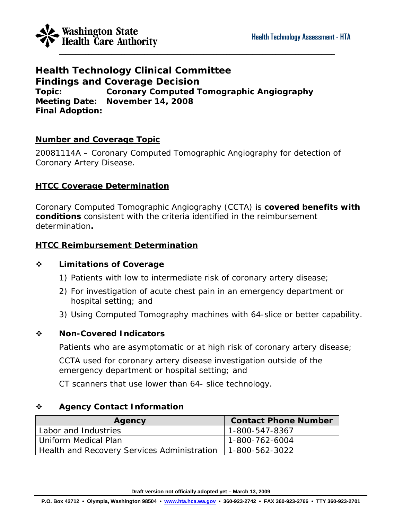

**Health Technology Clinical Committee Findings and Coverage Decision Topic: Coronary Computed Tomographic Angiography Meeting Date: November 14, 2008 Final Adoption:** 

### **Number and Coverage Topic**

20081114A – Coronary Computed Tomographic Angiography for detection of Coronary Artery Disease.

### **HTCC Coverage Determination**

Coronary Computed Tomographic Angiography (CCTA) is **covered benefits with conditions** consistent with the criteria identified in the reimbursement determination**.**

### **HTCC Reimbursement Determination**

### **Limitations of Coverage**

- 1) Patients with low to intermediate risk of coronary artery disease;
- 2) For investigation of acute chest pain in an emergency department or hospital setting; and
- 3) Using Computed Tomography machines with 64-slice or better capability.

### **Non-Covered Indicators**

Patients who are asymptomatic or at high risk of coronary artery disease;

CCTA used for coronary artery disease investigation outside of the emergency department or hospital setting; and

CT scanners that use lower than 64- slice technology.

### **Agency Contact Information**

| Agency                                      | <b>Contact Phone Number</b> |
|---------------------------------------------|-----------------------------|
| Labor and Industries                        | 1-800-547-8367              |
| l Uniform Medical Plan                      | 1-800-762-6004              |
| Health and Recovery Services Administration | 1-800-562-3022              |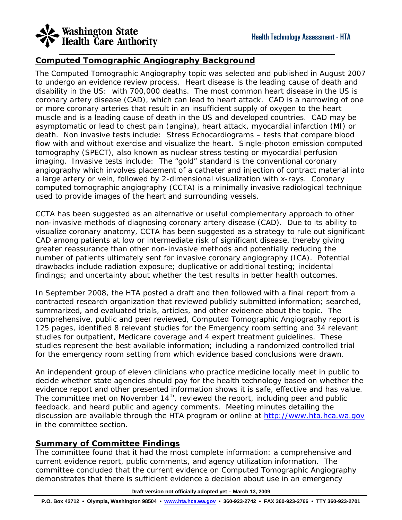# **Washington State**<br>Health Care Authority

### **Computed Tomographic Angiography Background**

The Computed Tomographic Angiography topic was selected and published in August 2007 to undergo an evidence review process. Heart disease is the leading cause of death and disability in the US: with 700,000 deaths. The most common heart disease in the US is coronary artery disease (CAD), which can lead to heart attack. CAD is a narrowing of one or more coronary arteries that result in an insufficient supply of oxygen to the heart muscle and is a leading cause of death in the US and developed countries. CAD may be asymptomatic or lead to chest pain (angina), heart attack, myocardial infarction (MI) or death. *Non invasive tests include:* Stress Echocardiograms – tests that compare blood flow with and without exercise and visualize the heart. Single-photon emission computed tomography (SPECT), also known as nuclear stress testing or myocardial perfusion imaging. *Invasive tests include:* The "gold" standard is the conventional coronary angiography which involves placement of a catheter and injection of contract material into a large artery or vein, followed by 2-dimensional visualization with x-rays. Coronary computed tomographic angiography (CCTA) is a minimally invasive radiological technique used to provide images of the heart and surrounding vessels.

\_\_\_\_\_\_\_\_\_\_\_\_\_\_\_\_\_\_\_\_\_\_\_\_\_\_\_\_\_\_\_\_\_\_\_\_\_\_\_\_\_\_\_\_\_\_\_\_\_\_\_\_\_\_\_\_\_\_\_\_\_\_\_\_\_\_\_\_\_\_\_\_\_\_\_\_\_\_\_\_\_\_\_\_

CCTA has been suggested as an alternative or useful complementary approach to other non-invasive methods of diagnosing coronary artery disease (CAD). Due to its ability to visualize coronary anatomy, CCTA has been suggested as a strategy to rule out significant CAD among patients at low or intermediate risk of significant disease, thereby giving greater reassurance than other non-invasive methods and potentially reducing the number of patients ultimately sent for invasive coronary angiography (ICA). Potential drawbacks include radiation exposure; duplicative or additional testing; incidental findings; and uncertainty about whether the test results in better health outcomes.

In September 2008, the HTA posted a draft and then followed with a final report from a contracted research organization that reviewed publicly submitted information; searched, summarized, and evaluated trials, articles, and other evidence about the topic. The comprehensive, public and peer reviewed, Computed Tomographic Angiography report is 125 pages, identified 8 relevant studies for the Emergency room setting and 34 relevant studies for outpatient, Medicare coverage and 4 expert treatment guidelines. These studies represent the best available information; including a randomized controlled trial for the emergency room setting from which evidence based conclusions were drawn.

An independent group of eleven clinicians who practice medicine locally meet in public to decide whether state agencies should pay for the health technology based on whether the evidence report and other presented information shows it is safe, effective and has value. The committee met on November 14<sup>th</sup>, reviewed the report, including peer and public feedback, and heard public and agency comments. Meeting minutes detailing the discussion are available through the HTA program or online at [http://www.hta.hca.wa.gov](http://www.hta.hca.wa.gov/) in the committee section.

### **Summary of Committee Findings**

The committee found that it had the most complete information: a comprehensive and current evidence report, public comments, and agency utilization information. The committee concluded that the current evidence on Computed Tomographic Angiography demonstrates that there is sufficient evidence a decision about use in an emergency

#### **Draft version not officially adopted yet – March 13, 2009**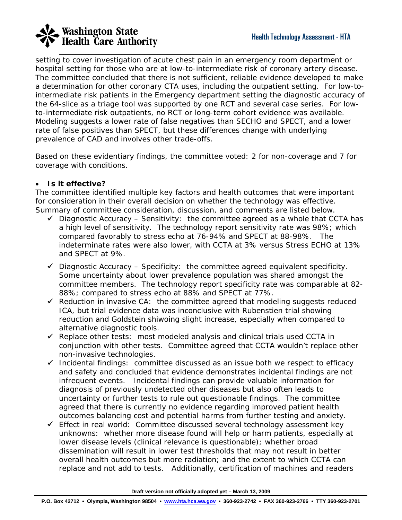# **Washington State**<br>Health Care Authority

setting to cover investigation of acute chest pain in an emergency room department or hospital setting for those who are at low-to-intermediate risk of coronary artery disease. The committee concluded that there is not sufficient, reliable evidence developed to make a determination for other coronary CTA uses, including the outpatient setting. For low-tointermediate risk patients in the Emergency department setting the diagnostic accuracy of the 64-slice as a triage tool was supported by one RCT and several case series. For lowto-intermediate risk outpatients, no RCT or long-term cohort evidence was available. Modeling suggests a lower rate of false negatives than SECHO and SPECT, and a lower rate of false positives than SPECT, but these differences change with underlying prevalence of CAD and involves other trade-offs.

\_\_\_\_\_\_\_\_\_\_\_\_\_\_\_\_\_\_\_\_\_\_\_\_\_\_\_\_\_\_\_\_\_\_\_\_\_\_\_\_\_\_\_\_\_\_\_\_\_\_\_\_\_\_\_\_\_\_\_\_\_\_\_\_\_\_\_\_\_\_\_\_\_\_\_\_\_\_\_\_\_\_\_\_

Based on these evidentiary findings, the committee voted: 2 for non-coverage and 7 for coverage with conditions.

### • *Is it effective?*

The committee identified multiple key factors and health outcomes that were important for consideration in their overall decision on whether the technology was effective. Summary of committee consideration, discussion, and comments are listed below.

- 9 *Diagnostic Accuracy Sensitivity*: the committee agreed as a whole that CCTA has a high level of sensitivity. The technology report sensitivity rate was 98%; which compared favorably to stress echo at 76-94% and SPECT at 88-98%. The indeterminate rates were also lower, with CCTA at 3% versus Stress ECHO at 13% and SPECT at 9%.
- 9 *Diagnostic Accuracy Specificity*: the committee agreed equivalent specificity. Some uncertainty about lower prevalence population was shared amongst the committee members. The technology report specificity rate was comparable at 82- 88%; compared to stress echo at 88% and SPECT at 77%.
- 9 *Reduction in invasive CA*: the committee agreed that modeling suggests reduced ICA, but trial evidence data was inconclusive with Rubenstien trial showing reduction and Goldstein shiwoing slight increase, especially when compared to alternative diagnostic tools.
- 9 *Replace other tests*: most modeled analysis and clinical trials used CCTA in conjunction with other tests. Committee agreed that CCTA wouldn't replace other non-invasive technologies.
- 9 *Incidental findings*: committee discussed as an issue both we respect to efficacy and safety and concluded that evidence demonstrates incidental findings are not infrequent events. Incidental findings can provide valuable information for diagnosis of previously undetected other diseases but also often leads to uncertainty or further tests to rule out questionable findings. The committee agreed that there is currently no evidence regarding improved patient health outcomes balancing cost and potential harms from further testing and anxiety.
- 9 *Effect in real world*: Committee discussed several technology assessment key unknowns: whether more disease found will help or harm patients, especially at lower disease levels (clinical relevance is questionable); whether broad dissemination will result in lower test thresholds that may not result in better overall health outcomes but more radiation; and the extent to which CCTA can replace and not add to tests. Additionally, certification of machines and readers

**Draft version not officially adopted yet – March 13, 2009**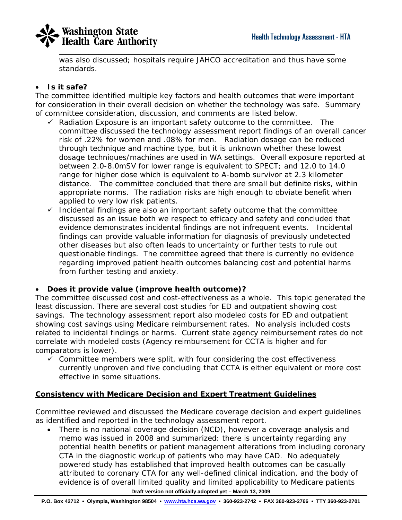

was also discussed; hospitals require JAHCO accreditation and thus have some standards.

### • *Is it safe?*

The committee identified multiple key factors and health outcomes that were important for consideration in their overall decision on whether the technology was safe. Summary of committee consideration, discussion, and comments are listed below.

- 9 *Radiation Exposure* is an important safety outcome to the committee. The committee discussed the technology assessment report findings of an overall cancer risk of .22% for women and .08% for men. Radiation dosage can be reduced through technique and machine type, but it is unknown whether these lowest dosage techniques/machines are used in WA settings. Overall exposure reported at between 2.0-8.0mSV for lower range is equivalent to SPECT; and 12.0 to 14.0 range for higher dose which is equivalent to A-bomb survivor at 2.3 kilometer distance. The committee concluded that there are small but definite risks, within appropriate norms. The radiation risks are high enough to obviate benefit when applied to very low risk patients.
- 9 *Incidental findings* are also an important safety outcome that the committee discussed as an issue both we respect to efficacy and safety and concluded that evidence demonstrates incidental findings are not infrequent events. Incidental findings can provide valuable information for diagnosis of previously undetected other diseases but also often leads to uncertainty or further tests to rule out questionable findings. The committee agreed that there is currently no evidence regarding improved patient health outcomes balancing cost and potential harms from further testing and anxiety.

### • *Does it provide value (improve health outcome)?*

The committee discussed cost and cost-effectiveness as a whole. This topic generated the least discussion. There are several cost studies for ED and outpatient showing cost savings. The technology assessment report also modeled costs for ED and outpatient showing cost savings using Medicare reimbursement rates. No analysis included costs related to incidental findings or harms. Current state agency reimbursement rates do not correlate with modeled costs (Agency reimbursement for CCTA is higher and for comparators is lower).

 $\checkmark$  Committee members were split, with four considering the cost effectiveness currently unproven and five concluding that CCTA is either equivalent or more cost effective in some situations.

### **Consistency with Medicare Decision and Expert Treatment Guidelines**

Committee reviewed and discussed the Medicare coverage decision and expert guidelines as identified and reported in the technology assessment report.

**Draft version not officially adopted yet – March 13, 2009**  • There is no national coverage decision (NCD), however a coverage analysis and memo was issued in 2008 and summarized: there is uncertainty regarding any potential health benefits or patient management alterations from including coronary CTA in the diagnostic workup of patients who may have CAD. No adequately powered study has established that improved health outcomes can be casually attributed to coronary CTA for any well-defined clinical indication, and the body of evidence is of overall limited quality and limited applicability to Medicare patients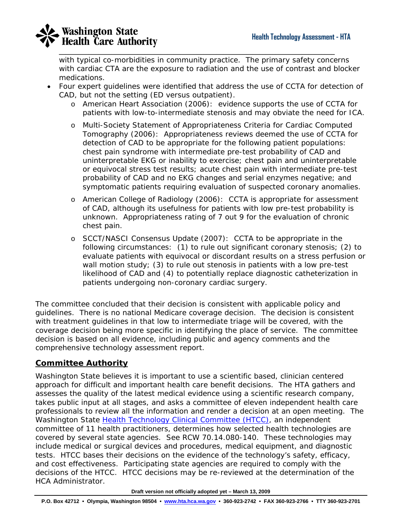

with typical co-morbidities in community practice. The primary safety concerns with cardiac CTA are the exposure to radiation and the use of contrast and blocker medications.

- Four expert guidelines were identified that address the use of CCTA for detection of CAD, but not the setting (ED versus outpatient).
	- o American Heart Association (2006): evidence supports the use of CCTA for patients with low-to-intermediate stenosis and may obviate the need for ICA.
	- o Multi-Society Statement of Appropriateness Criteria for Cardiac Computed Tomography (2006): Appropriateness reviews deemed the use of CCTA for detection of CAD to be appropriate for the following patient populations: chest pain syndrome with intermediate pre-test probability of CAD and uninterpretable EKG or inability to exercise; chest pain and uninterpretable or equivocal stress test results; acute chest pain with intermediate pre-test probability of CAD and no EKG changes and serial enzymes negative; and symptomatic patients requiring evaluation of suspected coronary anomalies.
	- o American College of Radiology (2006): CCTA is appropriate for assessment of CAD, although its usefulness for patients with low pre-test probability is unknown. Appropriateness rating of 7 out 9 for the evaluation of chronic chest pain.
	- o SCCT/NASCI Consensus Update (2007): CCTA to be appropriate in the following circumstances: (1) to rule out significant coronary stenosis; (2) to evaluate patients with equivocal or discordant results on a stress perfusion or wall motion study; (3) to rule out stenosis in patients with a low pre-test likelihood of CAD and (4) to potentially replace diagnostic catheterization in patients undergoing non-coronary cardiac surgery.

The committee concluded that their decision is consistent with applicable policy and guidelines. There is no national Medicare coverage decision. The decision is consistent with treatment guidelines in that low to intermediate triage will be covered, with the coverage decision being more specific in identifying the place of service. The committee decision is based on all evidence, including public and agency comments and the comprehensive technology assessment report.

### **Committee Authority**

Washington State believes it is important to use a scientific based, clinician centered approach for difficult and important health care benefit decisions. The HTA gathers and assesses the quality of the latest medical evidence using a scientific research company, takes public input at all stages, and asks a committee of eleven independent health care professionals to review all the information and render a decision at an open meeting. The Washington State **Health Technology Clinical Committee (HTCC)**, an independent committee of 11 health practitioners, determines how selected health technologies are covered by several state agencies. See RCW 70.14.080-140. These technologies may include medical or surgical devices and procedures, medical equipment, and diagnostic tests. HTCC bases their decisions on the evidence of the technology's safety, efficacy, and cost effectiveness. Participating state agencies are required to comply with the decisions of the HTCC. HTCC decisions may be re-reviewed at the determination of the HCA Administrator.

**Draft version not officially adopted yet – March 13, 2009**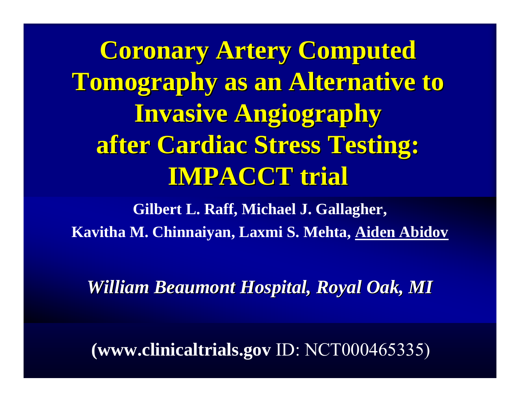**Coronary Artery Computed Tomography as an Alternative to Invasive Angiography after Cardiac Stress Testing: after Cardiac Stress Testing: IMPACCT trial IMPACCT trial**

**Gilbert L. Raff, Michael J. Gallagher, Kavitha M. Chinnaiyan, Laxmi S. Mehta, Aiden Abidov**

*William Beaumont Hospital, Royal Oak, MI William Beaumont Hospital, Royal Oak, MI*

**(www.clinicaltrials.gov** ID: NCT000465335)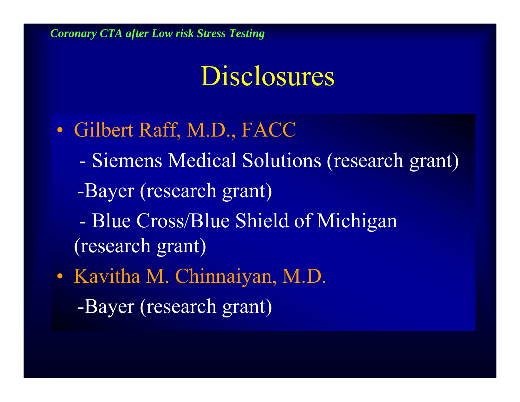# Disclosures

- Gilbert Raff, M.D., FACC
	- Siemens Medical Solutions (research grant)
	- -Bayer (research grant)
	- Blue Cross/Blue Shield of Michigan (research grant)
- Kavitha M. Chinnaiyan, M.D. -Bayer (research grant)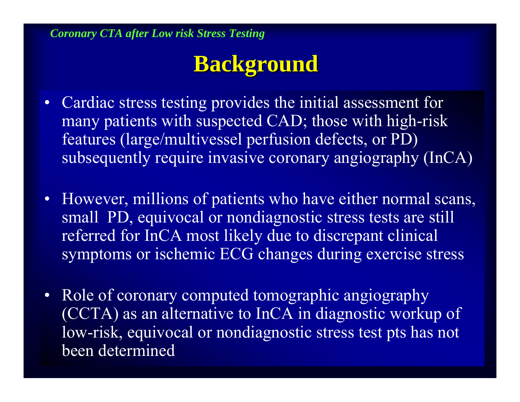### **Background Background**

- Cardiac stress testing provides the initial assessment for many patients with suspected CAD; those with high-risk features (large/multivessel perfusion defects, or PD) subsequently require invasive coronary angiography (InCA)
- However, millions of patients who have either normal scans, small PD, equivocal or nondiagnostic stress tests are still referred for InCA most likely due to discrepant clinical symptoms or ischemic ECG changes during exercise stress
- Role of coronary computed tomographic angiography (CCTA) as an alternative to InCA in diagnostic workup of low-risk, equivocal or nondiagnostic stress test pts has not been determined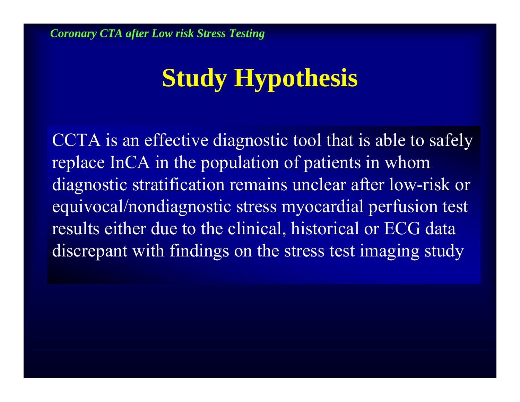# **Study Hypothesis**

CCTA is an effective diagnostic tool that is able to safely replace InCA in the population of patients in whom diagnostic stratification remains unclear after low-risk or equivocal/nondiagnostic stress myocardial perfusion test results either due to the clinical, historical or ECG data discrepant with findings on the stress test imaging study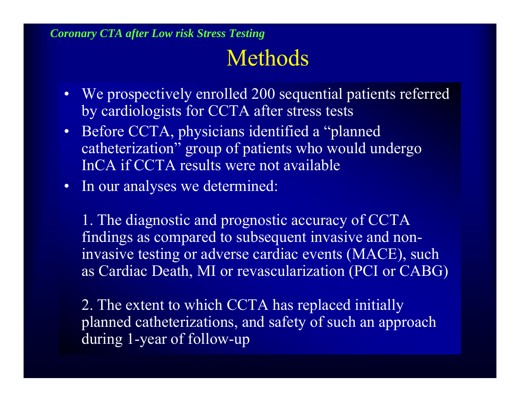# Methods

- We prospectively enrolled 200 sequential patients referred by cardiologists for CCTA after stress tests
- Before CCTA, physicians identified a "planned catheterization" group of patients who would undergo InCA if CCTA results were not available
- In our analyses we determined:

1. The diagnostic and prognostic accuracy of CCTA findings as compared to subsequent invasive and noninvasive testing or adverse cardiac events (MACE), such as Cardiac Death, MI or revascularization (PCI or CABG)

2. The extent to which CCTA has replaced initially planned catheterizations, and safety of such an approach during 1-year of follow-up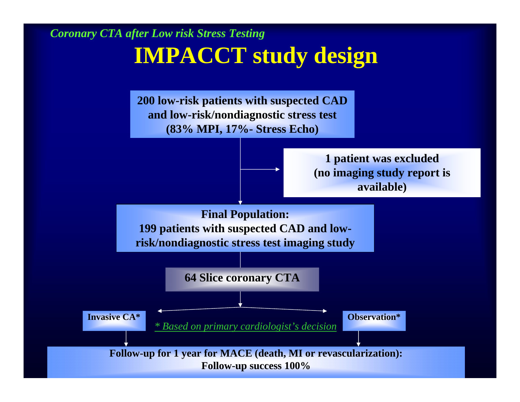## **IMPACCT study design**

**200 low-risk patients with suspected CAD and low-risk/nondiagnostic stress test (83% MPI, 17%- Stress Echo)**



**1 patient was excluded (no imaging study report is available)**

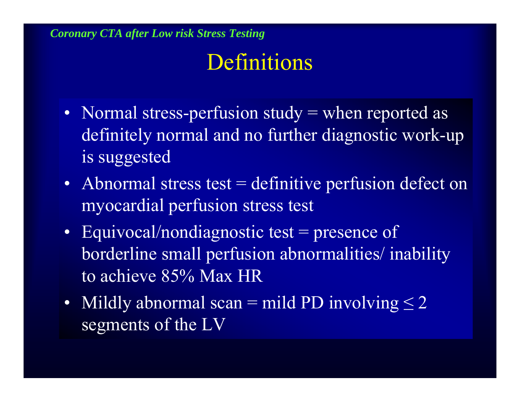## Definitions

- Normal stress-perfusion study = when reported as definitely normal and no further diagnostic work-up is suggested
- Abnormal stress test = definitive perfusion defect on myocardial perfusion stress test
- Equivocal/nondiagnostic test = presence of borderline small perfusion abnormalities/ inability to achieve 85% Max HR
- Mildly abnormal scan = mild PD involving  $\leq 2$ segments of the LV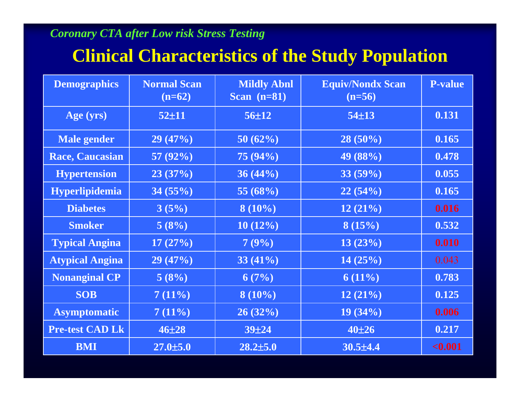### **Clinical Characteristics of the Study Population**

| <b>Demographics</b>    | <b>Normal Scan</b><br>$(n=62)$ | <b>Mildly Abnl</b><br>Scan $(n=81)$ | <b>Equiv/Nondx Scan</b><br>$(n=56)$ | <b>P-value</b> |
|------------------------|--------------------------------|-------------------------------------|-------------------------------------|----------------|
| Age (yrs)              | $52 \pm 11$                    | $56 + 12$                           | $54\pm13$                           | 0.131          |
| <b>Male gender</b>     | 29(47%)                        | 50(62%)                             | $28(50\%)$                          | 0.165          |
| <b>Race, Caucasian</b> | 57 $(92\%)$                    | $75(94\%)$                          | 49 (88%)                            | 0.478          |
| <b>Hypertension</b>    | 23(37%)                        | $36(44\%)$                          | 33(59%)                             | 0.055          |
| <b>Hyperlipidemia</b>  | 34(55%)                        | 55 $(68%)$                          | 22(54%)                             | 0.165          |
| <b>Diabetes</b>        | 3(5%)                          | $8(10\%)$                           | 12(21%)                             | 0.016          |
| <b>Smoker</b>          | 5(8%)                          | $10(12\%)$                          | 8(15%)                              | 0.532          |
| <b>Typical Angina</b>  | 17(27%)                        | 7(9%)                               | 13(23%)                             | 0.010          |
| <b>Atypical Angina</b> | 29(47%)                        | $33(41\%)$                          | 14(25%)                             | 0.043          |
| <b>Nonanginal CP</b>   | 5(8%)                          | 6(7%)                               | $6(11\%)$                           | 0.783          |
| <b>SOB</b>             | 7(11%)                         | $8(10\%)$                           | 12(21%)                             | 0.125          |
| <b>Asymptomatic</b>    | 7(11%)                         | 26(32%)                             | $19(34\%)$                          | 0.006          |
| <b>Pre-test CAD Lk</b> | $46 + 28$                      | $39 + 24$                           | $40 + 26$                           | 0.217          |
| <b>BMI</b>             | $27.0 \pm 5.0$                 | $28.2 \pm 5.0$                      | $30.5 \pm 4.4$                      | < 0.001        |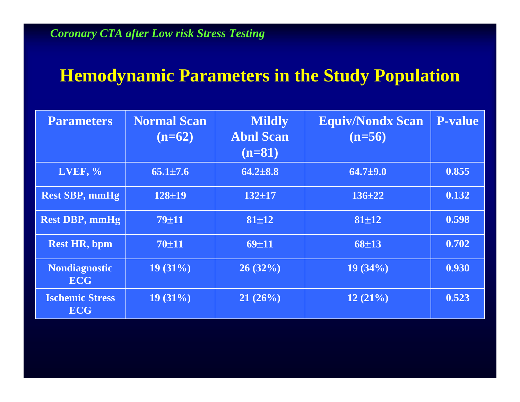### **Hemodynamic Parameters in the Study Population**

| <b>Parameters</b>                    | <b>Normal Scan</b><br>$(n=62)$ | <b>Mildly</b><br><b>Abnl Scan</b><br>$(n=81)$ | <b>Equiv/Nondx Scan</b><br>$(n=56)$ | <b>P-value</b> |
|--------------------------------------|--------------------------------|-----------------------------------------------|-------------------------------------|----------------|
| <b>LVEF, %</b>                       | $65.1 \pm 7.6$                 | $64.2 \pm 8.8$                                | $64.7{\pm}9.0$                      | 0.855          |
| <b>Rest SBP, mmHg</b>                | 128±19                         | $132 + 17$                                    | $136 + 22$                          | 0.132          |
| <b>Rest DBP, mmHg</b>                | $79 \pm 11$                    | $81 \pm 12$                                   | 81±12                               | 0.598          |
| <b>Rest HR, bpm</b>                  | 70±11                          | 69±11                                         | 68±13                               | 0.702          |
| <b>Nondiagnostic</b><br><b>ECG</b>   | $19(31\%)$                     | 26(32%)                                       | $19(34\%)$                          | 0.930          |
| <b>Ischemic Stress</b><br><b>ECG</b> | $19(31\%)$                     | 21(26%)                                       | 12(21%)                             | 0.523          |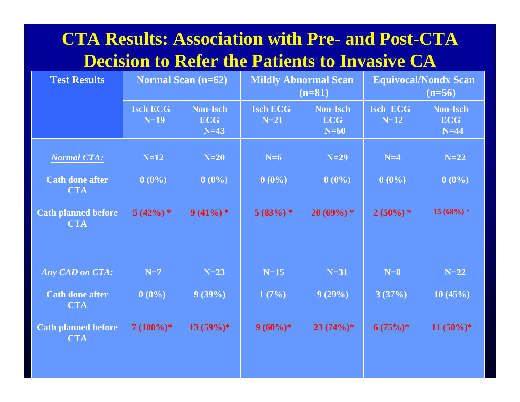### **CTA Results: Association with Pre- and Post-CTA Decision to Refer the Patients to Invasive CA**

| <b>Test Results</b>                      | <b>Normal Scan (n=62)</b><br><b>Mildly Abnormal Scan</b><br>$(n=81)$ |                                  | <b>Equivocal/Nondx Scan</b><br>$(n=56)$ |                                         |                           |                                         |
|------------------------------------------|----------------------------------------------------------------------|----------------------------------|-----------------------------------------|-----------------------------------------|---------------------------|-----------------------------------------|
|                                          | <b>Isch ECG</b><br>$N=19$                                            | Non-Isch<br><b>ECG</b><br>$N=43$ | <b>Isch ECG</b><br>$N=21$               | <b>Non-Isch</b><br><b>ECG</b><br>$N=60$ | <b>Isch ECG</b><br>$N=12$ | <b>Non-Isch</b><br><b>ECG</b><br>$N=44$ |
| <b>Normal CTA:</b>                       | $N=12$                                                               | $N=20$                           | $N=6$                                   | $N=29$                                  | $N=4$                     | $N=22$                                  |
| <b>Cath done after</b><br><b>CTA</b>     | $0(0\%)$                                                             | $0(0\%)$                         | $0(0\%)$                                | $0(0\%)$                                | $0(0\%)$                  | $0(0\%)$                                |
| <b>Cath planned before</b><br><b>CTA</b> | $5(42%)$ *                                                           | $9(41\%) *$                      | $5(83%)$ *                              | $20(69\%) *$                            | $2(50\%) *$               | $15(68%)$ *                             |
|                                          |                                                                      |                                  |                                         |                                         |                           |                                         |
| <b>Any CAD on CTA:</b>                   | $N=7$                                                                | $N=23$                           | $N=15$                                  | $N=31$                                  | $N=8$                     | $N=22$                                  |
| <b>Cath done after</b><br><b>CTA</b>     | $0(0\%)$                                                             | $9(39\%)$                        | 1(7%)                                   | 9(29%)                                  | 3(37%)                    | 10(45%)                                 |
| <b>Cath planned before</b><br><b>CTA</b> | $7(100\%)*$                                                          | $13(59\%)*$                      | $9(60\%)*$                              | $23(74%)$ *                             | $6(75%)$ *                | $11 (50\%)*$                            |
|                                          |                                                                      |                                  |                                         |                                         |                           |                                         |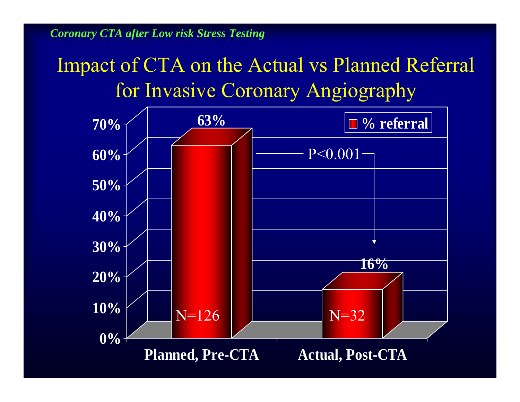### Impact of CTA on the Actual vs Planned Referral for Invasive Coronary Angiography

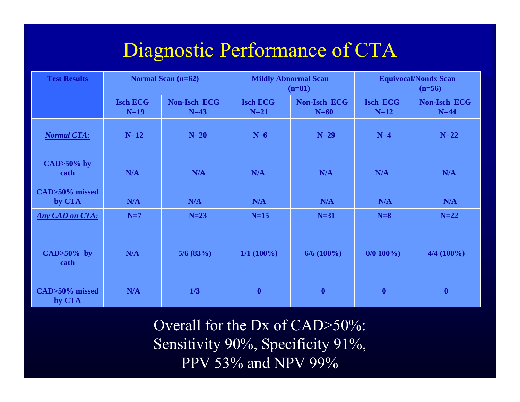### Diagnostic Performance of CTA

| <b>Test Results</b>      | <b>Normal Scan (n=62)</b> |                               | <b>Mildly Abnormal Scan</b><br>$(n=81)$ |                               | <b>Equivocal/Nondx Scan</b><br>$(n=56)$ |                               |
|--------------------------|---------------------------|-------------------------------|-----------------------------------------|-------------------------------|-----------------------------------------|-------------------------------|
|                          | <b>Isch ECG</b><br>$N=19$ | <b>Non-Isch ECG</b><br>$N=43$ | <b>Isch ECG</b><br>$N=21$               | <b>Non-Isch ECG</b><br>$N=60$ | <b>Isch ECG</b><br>$N=12$               | <b>Non-Isch ECG</b><br>$N=44$ |
| <b>Normal CTA:</b>       | $N=12$                    | $N=20$                        | $N=6$                                   | $N=29$                        | $N=4$                                   | $N=22$                        |
| $CAD>50\%$ by<br>cath    | N/A                       | N/A                           | N/A                                     | N/A                           | N/A                                     | N/A                           |
| CAD>50% missed<br>by CTA | N/A                       | N/A                           | N/A                                     | N/A                           | N/A                                     | N/A                           |
| <b>Any CAD on CTA:</b>   | $N=7$                     | $N=23$                        | $N=15$                                  | $N=31$                        | $N=8$                                   | $N=22$                        |
| $CAD>50\%$ by<br>cath    | N/A                       | $5/6$ (83%)                   | $1/1 (100\%)$                           | $6/6(100\%)$                  | $0/0$ 100%)                             | 4/4 (100%)                    |
| CAD>50% missed<br>by CTA | N/A                       | 1/3                           | $\boldsymbol{0}$                        | $\boldsymbol{0}$              | $\boldsymbol{0}$                        | $\boldsymbol{0}$              |

Overall for the Dx of CAD>50%: Sensitivity 90%, Specificity 91%, PPV 53% and NPV 99%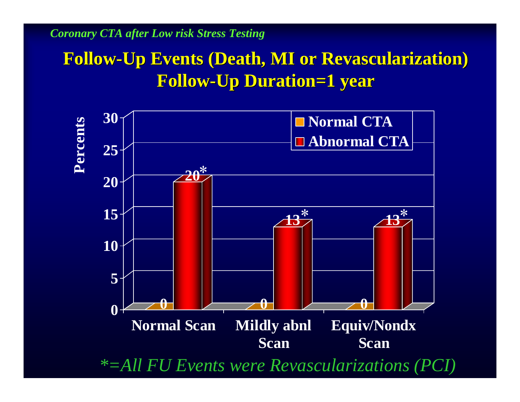### **Follow -Up Events (Death, MI or Revascularization) Up Events (Death, MI or Revascularization) Follow -Up Duration=1 year Up Duration=1 year**

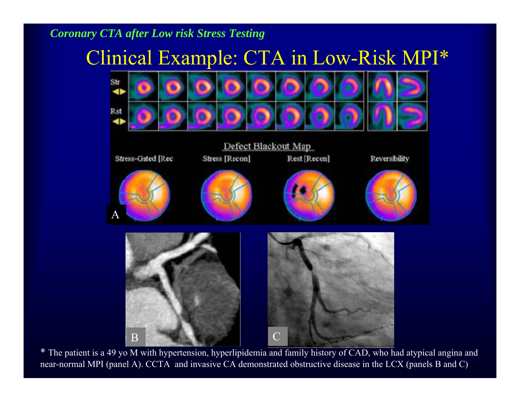### Clinical Example: CTA in Low-Risk MPI\*



\* The patient is a 49 yo M with hypertension, hyperlipidemia and family history of CAD, who had atypical angina and near-normal MPI (panel A). CCTA and invasive CA demonstrated obstructive disease in the LCX (panels B and C)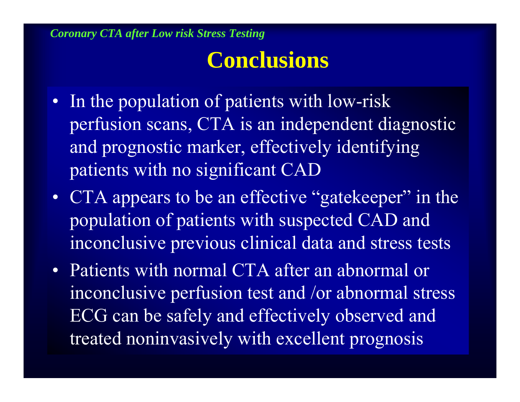### **Conclusions**

- In the population of patients with low-risk perfusion scans, CTA is an independent diagnostic and prognostic marker, effectively identifying patients with no significant CAD
- CTA appears to be an effective "gatekeeper" in the population of patients with suspected CAD and inconclusive previous clinical data and stress tests
- Patients with normal CTA after an abnormal or inconclusive perfusion test and /or abnormal stress ECG can be safely and effectively observed and treated noninvasively with excellent prognosis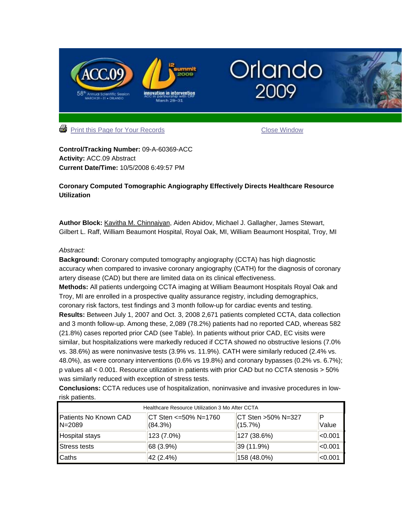

**Control/Tracking Number:** 09-A-60369-ACC **Activity:** ACC.09 Abstract **Current Date/Time:** 10/5/2008 6:49:57 PM

#### **Coronary Computed Tomographic Angiography Effectively Directs Healthcare Resource Utilization**

**Author Block:** Kavitha M. Chinnaiyan, Aiden Abidov, Michael J. Gallagher, James Stewart, Gilbert L. Raff, William Beaumont Hospital, Royal Oak, MI, William Beaumont Hospital, Troy, MI

#### *Abstract:*

**Background:** Coronary computed tomography angiography (CCTA) has high diagnostic accuracy when compared to invasive coronary angiography (CATH) for the diagnosis of coronary artery disease (CAD) but there are limited data on its clinical effectiveness.

**Methods:** All patients undergoing CCTA imaging at William Beaumont Hospitals Royal Oak and Troy, MI are enrolled in a prospective quality assurance registry, including demographics, coronary risk factors, test findings and 3 month follow-up for cardiac events and testing. **Results:** Between July 1, 2007 and Oct. 3, 2008 2,671 patients completed CCTA, data collection and 3 month follow-up. Among these, 2,089 (78.2%) patients had no reported CAD, whereas 582 (21.8%) cases reported prior CAD (see Table). In patients without prior CAD, EC visits were similar, but hospitalizations were markedly reduced if CCTA showed no obstructive lesions (7.0% vs. 38.6%) as were noninvasive tests (3.9% vs. 11.9%). CATH were similarly reduced (2.4% vs. 48.0%), as were coronary interventions (0.6% vs 19.8%) and coronary bypasses (0.2% vs. 6.7%); p values all < 0.001. Resource utilization in patients with prior CAD but no CCTA stenosis > 50% was similarly reduced with exception of stress tests.

**Conclusions:** CCTA reduces use of hospitalization, noninvasive and invasive procedures in lowrisk patients.

| Healthcare Resource Utilization 3 Mo After CCTA |                                 |                               |                  |  |  |
|-------------------------------------------------|---------------------------------|-------------------------------|------------------|--|--|
| Patients No Known CAD<br>$N = 2089$             | CT Sten <=50% N=1760<br>(84.3%) | CT Sten >50% N=327<br>(15.7%) | Р<br>Value       |  |  |
| Hospital stays                                  | 123 (7.0%)                      | 127 (38.6%)                   | <sub>0.001</sub> |  |  |
| Stress tests                                    | 68 (3.9%)                       | 39 (11.9%)                    | $ <$ 0.001       |  |  |
| Caths                                           | 42 (2.4%)                       | 158 (48.0%)                   | < 0.001          |  |  |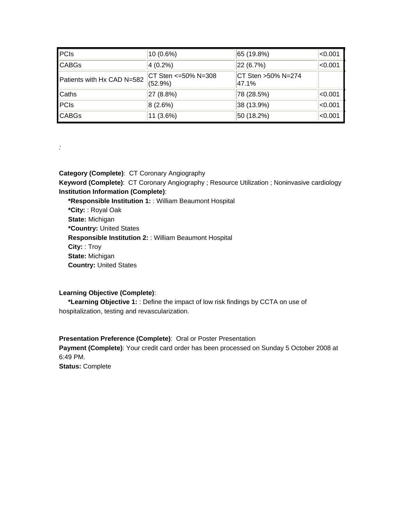| PCs                        | $ 10(0.6\%) $                    | 65 (19.8%)                  | $ <$ 0.001 |
|----------------------------|----------------------------------|-----------------------------|------------|
| <b>CABGs</b>               | $ 4(0.2\%)$                      | 22 (6.7%)                   | $ <$ 0.001 |
| Patients with Hx CAD N=582 | CT Sten <= 50% N= 308<br>(52.9%) | CT Sten >50% N=274<br>47.1% |            |
| <b>Caths</b>               | 27 (8.8%)                        | 78 (28.5%)                  | $ <$ 0.001 |
| PCs                        | 8(2.6%)                          | 38 (13.9%)                  | $ <$ 0.001 |
| <b>CABGs</b>               | 11 (3.6%)                        | 50 (18.2%)                  | $ <$ 0.001 |

*:*

**Category (Complete)**: CT Coronary Angiography **Keyword (Complete)**: CT Coronary Angiography ; Resource Utilization ; Noninvasive cardiology **Institution Information (Complete)**: **\*Responsible Institution 1:** : William Beaumont Hospital **\*City:** : Royal Oak **State:** Michigan **\*Country:** United States **Responsible Institution 2:** : William Beaumont Hospital **City:** : Troy **State:** Michigan

**Country:** United States

#### **Learning Objective (Complete)**:

 **\*Learning Objective 1:** : Define the impact of low risk findings by CCTA on use of hospitalization, testing and revascularization.

**Presentation Preference (Complete)**: Oral or Poster Presentation **Payment (Complete)**: Your credit card order has been processed on Sunday 5 October 2008 at 6:49 PM. **Status:** Complete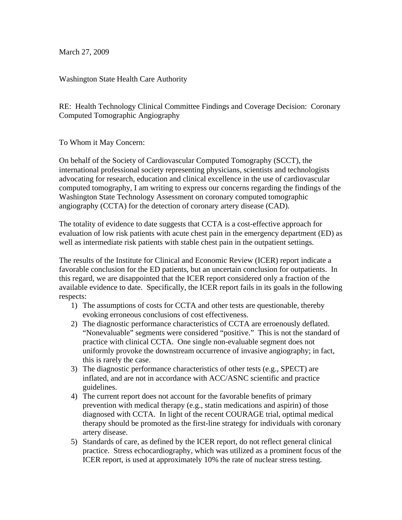March 27, 2009

Washington State Health Care Authority

RE: Health Technology Clinical Committee Findings and Coverage Decision: Coronary Computed Tomographic Angiography

To Whom it May Concern:

On behalf of the Society of Cardiovascular Computed Tomography (SCCT), the international professional society representing physicians, scientists and technologists advocating for research, education and clinical excellence in the use of cardiovascular computed tomography, I am writing to express our concerns regarding the findings of the Washington State Technology Assessment on coronary computed tomographic angiography (CCTA) for the detection of coronary artery disease (CAD).

The totality of evidence to date suggests that CCTA is a cost-effective approach for evaluation of low risk patients with acute chest pain in the emergency department (ED) as well as intermediate risk patients with stable chest pain in the outpatient settings.

The results of the Institute for Clinical and Economic Review (ICER) report indicate a favorable conclusion for the ED patients, but an uncertain conclusion for outpatients. In this regard, we are disappointed that the ICER report considered only a fraction of the available evidence to date. Specifically, the ICER report fails in its goals in the following respects:

- 1) The assumptions of costs for CCTA and other tests are questionable, thereby evoking erroneous conclusions of cost effectiveness.
- 2) The diagnostic performance characteristics of CCTA are erroenously deflated. "Nonevaluable" segments were considered "positive." This is not the standard of practice with clinical CCTA. One single non-evaluable segment does not uniformly provoke the downstream occurrence of invasive angiography; in fact, this is rarely the case.
- 3) The diagnostic performance characteristics of other tests (e.g., SPECT) are inflated, and are not in accordance with ACC/ASNC scientific and practice guidelines.
- 4) The current report does not account for the favorable benefits of primary prevention with medical therapy (e.g., statin medications and aspirin) of those diagnosed with CCTA. In light of the recent COURAGE trial, optimal medical therapy should be promoted as the first-line strategy for individuals with coronary artery disease.
- 5) Standards of care, as defined by the ICER report, do not reflect general clinical practice. Stress echocardiography, which was utilized as a prominent focus of the ICER report, is used at approximately 10% the rate of nuclear stress testing.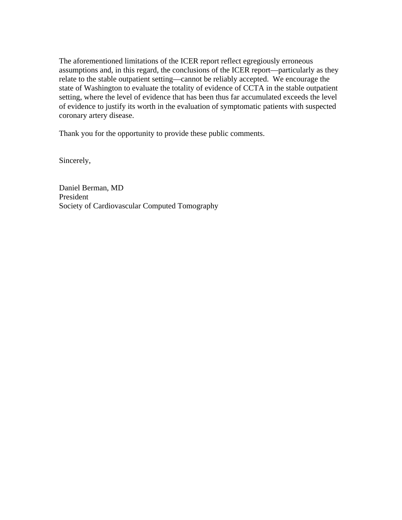The aforementioned limitations of the ICER report reflect egregiously erroneous assumptions and, in this regard, the conclusions of the ICER report—particularly as they relate to the stable outpatient setting—cannot be reliably accepted. We encourage the state of Washington to evaluate the totality of evidence of CCTA in the stable outpatient setting, where the level of evidence that has been thus far accumulated exceeds the level of evidence to justify its worth in the evaluation of symptomatic patients with suspected coronary artery disease.

Thank you for the opportunity to provide these public comments.

Sincerely,

Daniel Berman, MD President Society of Cardiovascular Computed Tomography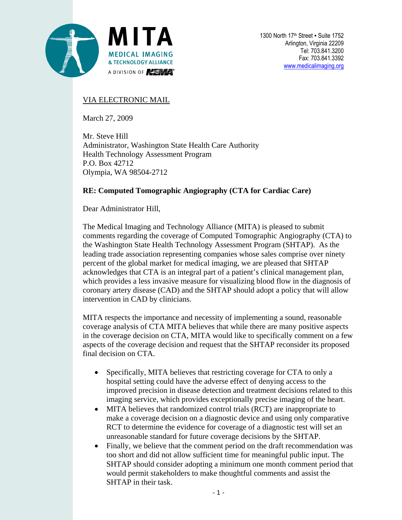

### VIA ELECTRONIC MAIL

March 27, 2009

Mr. Steve Hill Administrator, Washington State Health Care Authority Health Technology Assessment Program P.O. Box 42712 Olympia, WA 98504-2712

### **RE: Computed Tomographic Angiography (CTA for Cardiac Care)**

Dear Administrator Hill,

The Medical Imaging and Technology Alliance (MITA) is pleased to submit comments regarding the coverage of Computed Tomographic Angiography (CTA) to the Washington State Health Technology Assessment Program (SHTAP). As the leading trade association representing companies whose sales comprise over ninety percent of the global market for medical imaging, we are pleased that SHTAP acknowledges that CTA is an integral part of a patient's clinical management plan, which provides a less invasive measure for visualizing blood flow in the diagnosis of coronary artery disease (CAD) and the SHTAP should adopt a policy that will allow intervention in CAD by clinicians.

MITA respects the importance and necessity of implementing a sound, reasonable coverage analysis of CTA MITA believes that while there are many positive aspects in the coverage decision on CTA, MITA would like to specifically comment on a few aspects of the coverage decision and request that the SHTAP reconsider its proposed final decision on CTA.

- Specifically, MITA believes that restricting coverage for CTA to only a hospital setting could have the adverse effect of denying access to the improved precision in disease detection and treatment decisions related to this imaging service, which provides exceptionally precise imaging of the heart.
- MITA believes that randomized control trials (RCT) are inappropriate to make a coverage decision on a diagnostic device and using only comparative RCT to determine the evidence for coverage of a diagnostic test will set an unreasonable standard for future coverage decisions by the SHTAP.
- Finally, we believe that the comment period on the draft recommendation was too short and did not allow sufficient time for meaningful public input. The SHTAP should consider adopting a minimum one month comment period that would permit stakeholders to make thoughtful comments and assist the SHTAP in their task.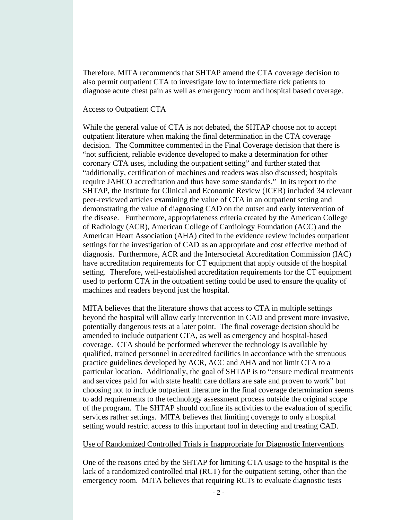Therefore, MITA recommends that SHTAP amend the CTA coverage decision to also permit outpatient CTA to investigate low to intermediate rick patients to diagnose acute chest pain as well as emergency room and hospital based coverage.

#### Access to Outpatient CTA

While the general value of CTA is not debated, the SHTAP choose not to accept outpatient literature when making the final determination in the CTA coverage decision. The Committee commented in the Final Coverage decision that there is "not sufficient, reliable evidence developed to make a determination for other coronary CTA uses, including the outpatient setting" and further stated that "additionally, certification of machines and readers was also discussed; hospitals require JAHCO accreditation and thus have some standards." In its report to the SHTAP, the Institute for Clinical and Economic Review (ICER) included 34 relevant peer-reviewed articles examining the value of CTA in an outpatient setting and demonstrating the value of diagnosing CAD on the outset and early intervention of the disease. Furthermore, appropriateness criteria created by the American College of Radiology (ACR), American College of Cardiology Foundation (ACC) and the American Heart Association (AHA) cited in the evidence review includes outpatient settings for the investigation of CAD as an appropriate and cost effective method of diagnosis. Furthermore, ACR and the Intersocietal Accreditation Commission (IAC) have accreditation requirements for CT equipment that apply outside of the hospital setting. Therefore, well-established accreditation requirements for the CT equipment used to perform CTA in the outpatient setting could be used to ensure the quality of machines and readers beyond just the hospital.

MITA believes that the literature shows that access to CTA in multiple settings beyond the hospital will allow early intervention in CAD and prevent more invasive, potentially dangerous tests at a later point. The final coverage decision should be amended to include outpatient CTA, as well as emergency and hospital-based coverage. CTA should be performed wherever the technology is available by qualified, trained personnel in accredited facilities in accordance with the strenuous practice guidelines developed by ACR, ACC and AHA and not limit CTA to a particular location. Additionally, the goal of SHTAP is to "ensure medical treatments and services paid for with state health care dollars are safe and proven to work" but choosing not to include outpatient literature in the final coverage determination seems to add requirements to the technology assessment process outside the original scope of the program. The SHTAP should confine its activities to the evaluation of specific services rather settings. MITA believes that limiting coverage to only a hospital setting would restrict access to this important tool in detecting and treating CAD.

#### Use of Randomized Controlled Trials is Inappropriate for Diagnostic Interventions

One of the reasons cited by the SHTAP for limiting CTA usage to the hospital is the lack of a randomized controlled trial (RCT) for the outpatient setting, other than the emergency room. MITA believes that requiring RCTs to evaluate diagnostic tests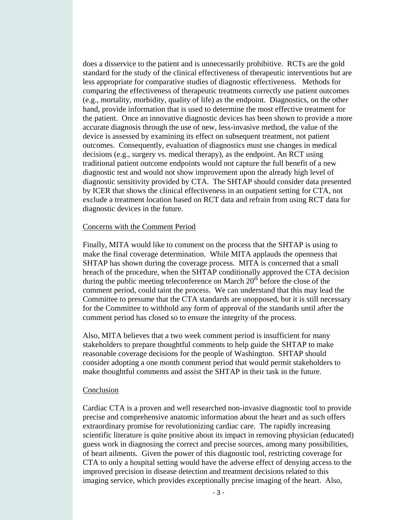does a disservice to the patient and is unnecessarily prohibitive. RCTs are the gold standard for the study of the clinical effectiveness of therapeutic interventions but are less appropriate for comparative studies of diagnostic effectiveness. Methods for comparing the effectiveness of therapeutic treatments correctly use patient outcomes (e.g., mortality, morbidity, quality of life) as the endpoint. Diagnostics, on the other hand, provide information that is used to determine the most effective treatment for the patient. Once an innovative diagnostic devices has been shown to provide a more accurate diagnosis through the use of new, less-invasive method, the value of the device is assessed by examining its effect on subsequent treatment, not patient outcomes. Consequently, evaluation of diagnostics must use changes in medical decisions (e.g., surgery vs. medical therapy), as the endpoint. An RCT using traditional patient outcome endpoints would not capture the full benefit of a new diagnostic test and would not show improvement upon the already high level of diagnostic sensitivity provided by CTA. The SHTAP should consider data presented by ICER that shows the clinical effectiveness in an outpatient setting for CTA, not exclude a treatment location based on RCT data and refrain from using RCT data for diagnostic devices in the future.

#### Concerns with the Comment Period

Finally, MITA would like to comment on the process that the SHTAP is using to make the final coverage determination. While MITA applauds the openness that SHTAP has shown during the coverage process. MITA is concerned that a small breach of the procedure, when the SHTAP conditionally approved the CTA decision during the public meeting teleconference on March  $20<sup>th</sup>$  before the close of the comment period, could taint the process. We can understand that this may lead the Committee to presume that the CTA standards are unopposed, but it is still necessary for the Committee to withhold any form of approval of the standards until after the comment period has closed so to ensure the integrity of the process.

Also, MITA believes that a two week comment period is insufficient for many stakeholders to prepare thoughtful comments to help guide the SHTAP to make reasonable coverage decisions for the people of Washington. SHTAP should consider adopting a one month comment period that would permit stakeholders to make thoughtful comments and assist the SHTAP in their task in the future.

#### **Conclusion**

Cardiac CTA is a proven and well researched non-invasive diagnostic tool to provide precise and comprehensive anatomic information about the heart and as such offers extraordinary promise for revolutionizing cardiac care. The rapidly increasing scientific literature is quite positive about its impact in removing physician (educated) guess work in diagnosing the correct and precise sources, among many possibilities, of heart ailments. Given the power of this diagnostic tool, restricting coverage for CTA to only a hospital setting would have the adverse effect of denying access to the improved precision in disease detection and treatment decisions related to this imaging service, which provides exceptionally precise imaging of the heart. Also,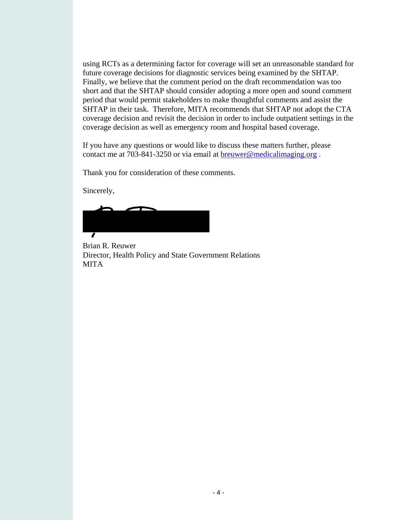using RCTs as a determining factor for coverage will set an unreasonable standard for future coverage decisions for diagnostic services being examined by the SHTAP. Finally, we believe that the comment period on the draft recommendation was too short and that the SHTAP should consider adopting a more open and sound comment period that would permit stakeholders to make thoughtful comments and assist the SHTAP in their task. Therefore, MITA recommends that SHTAP not adopt the CTA coverage decision and revisit the decision in order to include outpatient settings in the coverage decision as well as emergency room and hospital based coverage.

If you have any questions or would like to discuss these matters further, please contact me at 703-841-3250 or via email at breuwer@medicalimaging.org .

Thank you for consideration of these comments.

Sincerely,

Brian R. Reuwer Director, Health Policy and State Government Relations MITA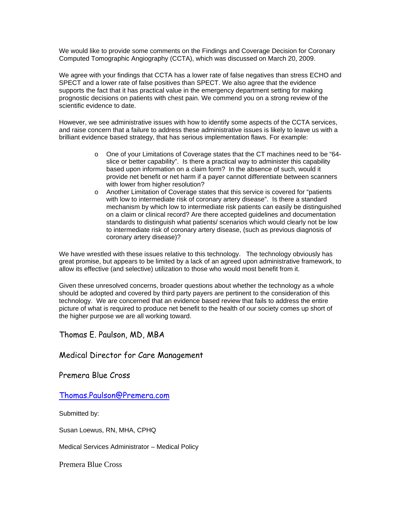We would like to provide some comments on the Findings and Coverage Decision for Coronary Computed Tomographic Angiography (CCTA), which was discussed on March 20, 2009.

We agree with your findings that CCTA has a lower rate of false negatives than stress ECHO and SPECT and a lower rate of false positives than SPECT. We also agree that the evidence supports the fact that it has practical value in the emergency department setting for making prognostic decisions on patients with chest pain. We commend you on a strong review of the scientific evidence to date.

However, we see administrative issues with how to identify some aspects of the CCTA services, and raise concern that a failure to address these administrative issues is likely to leave us with a brilliant evidence based strategy, that has serious implementation flaws. For example:

- o One of your Limitations of Coverage states that the CT machines need to be "64 slice or better capability". Is there a practical way to administer this capability based upon information on a claim form? In the absence of such, would it provide net benefit or net harm if a payer cannot differentiate between scanners with lower from higher resolution?
- o Another Limitation of Coverage states that this service is covered for "patients with low to intermediate risk of coronary artery disease". Is there a standard mechanism by which low to intermediate risk patients can easily be distinguished on a claim or clinical record? Are there accepted guidelines and documentation standards to distinguish what patients/ scenarios which would clearly not be low to intermediate risk of coronary artery disease, (such as previous diagnosis of coronary artery disease)?

We have wrestled with these issues relative to this technology. The technology obviously has great promise, but appears to be limited by a lack of an agreed upon administrative framework, to allow its effective (and selective) utilization to those who would most benefit from it.

Given these unresolved concerns, broader questions about whether the technology as a whole should be adopted and covered by third party payers are pertinent to the consideration of this technology. We are concerned that an evidence based review that fails to address the entire picture of what is required to produce net benefit to the health of our society comes up short of the higher purpose we are all working toward.

Thomas E. Paulson, MD, MBA

Medical Director for Care Management

Premera Blue Cross

[Thomas.Paulson@Premera.com](mailto:Thomas.Paulson@Premera.com)

Submitted by:

Susan Loewus, RN, MHA, CPHQ

Medical Services Administrator – Medical Policy

Premera Blue Cross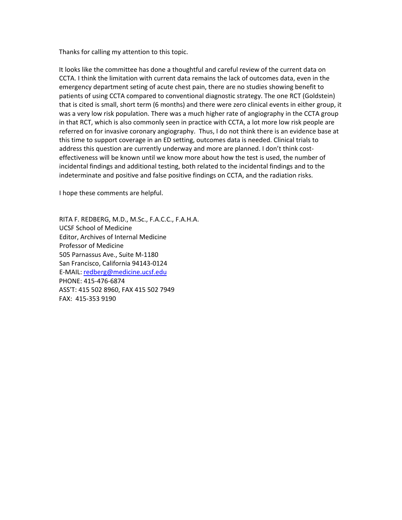Thanks for calling my attention to this topic.

It looks like the committee has done a thoughtful and careful review of the current data on CCTA. I think the limitation with current data remains the lack of outcomes data, even in the emergency department seting of acute chest pain, there are no studies showing benefit to patients of using CCTA compared to conventional diagnostic strategy. The one RCT (Goldstein) that is cited is small, short term (6 months) and there were zero clinical events in either group, it was a very low risk population. There was a much higher rate of angiography in the CCTA group in that RCT, which is also commonly seen in practice with CCTA, a lot more low risk people are referred on for invasive coronary angiography. Thus, I do not think there is an evidence base at this time to support coverage in an ED setting, outcomes data is needed. Clinical trials to address this question are currently underway and more are planned. I don't think costeffectiveness will be known until we know more about how the test is used, the number of incidental findings and additional testing, both related to the incidental findings and to the indeterminate and positive and false positive findings on CCTA, and the radiation risks.

I hope these comments are helpful.

RITA F. REDBERG, M.D., M.Sc., F.A.C.C., F.A.H.A. UCSF School of Medicine Editor, Archives of Internal Medicine Professor of Medicine 505 Parnassus Ave., Suite M‐1180 San Francisco, California 94143‐0124 E‐MAIL: redberg@medicine.ucsf.edu PHONE: 415‐476‐6874 ASS'T: 415 502 8960, FAX 415 502 7949 FAX: 415‐353 9190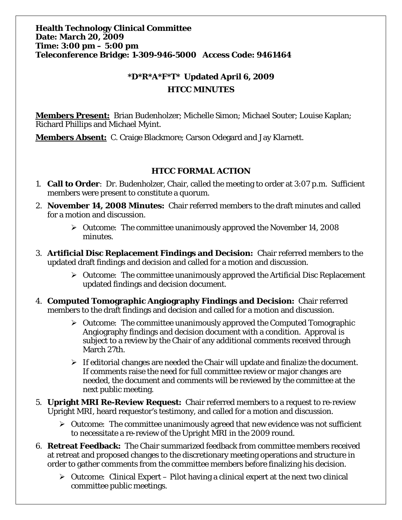### **\*D\*R\*A\*F\*T\* Updated April 6, 2009 HTCC MINUTES**

**Members Present:** Brian Budenholzer; Michelle Simon; Michael Souter; Louise Kaplan; Richard Phillips and Michael Myint.

**Members Absent:** C. Craige Blackmore; Carson Odegard and Jay Klarnett.

### **HTCC FORMAL ACTION**

- 1. **Call to Order**: Dr. Budenholzer, Chair, called the meeting to order at 3:07 p.m. Sufficient members were present to constitute a quorum.
- 2. **November 14, 2008 Minutes:** Chair referred members to the draft minutes and called for a motion and discussion.
	- ¾ *Outcome:* The committee unanimously approved the November 14, 2008 minutes.
- 3. **Artificial Disc Replacement Findings and Decision:** Chair referred members to the updated draft findings and decision and called for a motion and discussion.
	- ¾ *Outcome:* The committee unanimously approved the Artificial Disc Replacement updated findings and decision document.
- 4. **Computed Tomographic Angiography Findings and Decision:** Chair referred members to the draft findings and decision and called for a motion and discussion.
	- ¾ *Outcome:* The committee unanimously approved the Computed Tomographic Angiography findings and decision document with a condition. Approval is subject to a review by the Chair of any additional comments received through March 27th.
	- $\triangleright$  If editorial changes are needed the Chair will update and finalize the document. If comments raise the need for full committee review or major changes are needed, the document and comments will be reviewed by the committee at the next public meeting.
- 5. **Upright MRI Re-Review Request:** Chair referred members to a request to re-review Upright MRI, heard requestor's testimony, and called for a motion and discussion.
	- ¾ *Outcome:* The committee unanimously agreed that new evidence was not sufficient to necessitate a re-review of the Upright MRI in the 2009 round.
- 6. **Retreat Feedback:** The Chair summarized feedback from committee members received at retreat and proposed changes to the discretionary meeting operations and structure in order to gather comments from the committee members before finalizing his decision.
	- ¾ *Outcome:* Clinical Expert Pilot having a clinical expert at the next two clinical committee public meetings.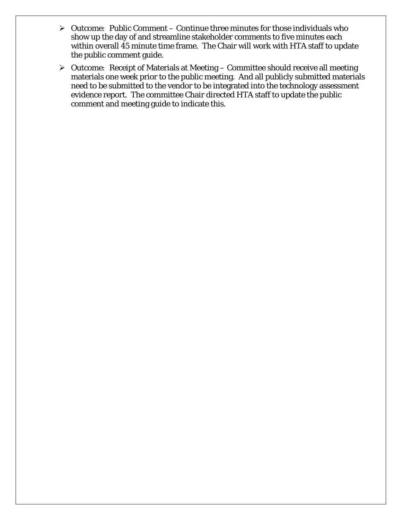- ¾ *Outcome:* Public Comment Continue three minutes for those individuals who show up the day of and streamline stakeholder comments to five minutes each within overall 45 minute time frame. The Chair will work with HTA staff to update the public comment guide.
- ¾ *Outcome:* Receipt of Materials at Meeting Committee should receive all meeting materials one week prior to the public meeting. And all publicly submitted materials need to be submitted to the vendor to be integrated into the technology assessment evidence report. The committee Chair directed HTA staff to update the public comment and meeting guide to indicate this.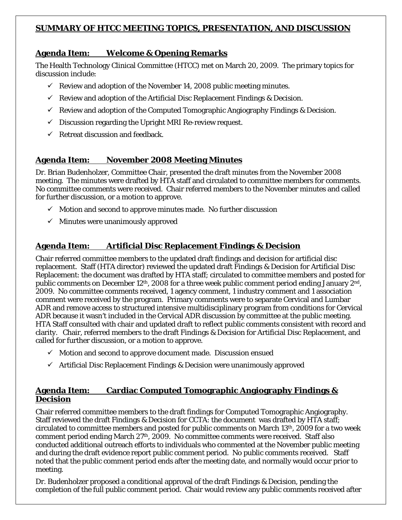### **SUMMARY OF HTCC MEETING TOPICS, PRESENTATION, AND DISCUSSION**

### **Agenda Item: Welcome & Opening Remarks**

The Health Technology Clinical Committee (HTCC) met on March 20, 2009. The primary topics for discussion include:

- $\checkmark$  Review and adoption of the November 14, 2008 public meeting minutes.
- $\checkmark$  Review and adoption of the Artificial Disc Replacement Findings & Decision.
- $\checkmark$  Review and adoption of the Computed Tomographic Angiography Findings & Decision.
- $\checkmark$  Discussion regarding the Upright MRI Re-review request.
- $\checkmark$  Retreat discussion and feedback.

### **Agenda Item: November 2008 Meeting Minutes**

Dr. Brian Budenholzer, Committee Chair, presented the draft minutes from the November 2008 meeting. The minutes were drafted by HTA staff and circulated to committee members for comments. No committee comments were received. Chair referred members to the November minutes and called for further discussion, or a motion to approve.

- $\checkmark$  Motion and second to approve minutes made. No further discussion
- $\checkmark$  Minutes were unanimously approved

### **Agenda Item: Artificial Disc Replacement Findings & Decision**

Chair referred committee members to the updated draft findings and decision for artificial disc replacement. Staff (HTA director) reviewed the updated draft Findings & Decision for Artificial Disc Replacement: the document was drafted by HTA staff; circulated to committee members and posted for public comments on December 12th, 2008 for a three week public comment period ending January 2nd, 2009. No committee comments received, 1 agency comment, 1 industry comment and 1 association comment were received by the program. Primary comments were to separate Cervical and Lumbar ADR and remove access to structured intensive multidisciplinary program from conditions for Cervical ADR because it wasn't included in the Cervical ADR discussion by committee at the public meeting. HTA Staff consulted with chair and updated draft to reflect public comments consistent with record and clarity. Chair, referred members to the draft Findings & Decision for Artificial Disc Replacement, and called for further discussion, or a motion to approve.

- $\checkmark$  Motion and second to approve document made. Discussion ensued
- $\checkmark$  Artificial Disc Replacement Findings & Decision were unanimously approved

### **Agenda Item: Cardiac Computed Tomographic Angiography Findings & Decision**

Chair referred committee members to the draft findings for Computed Tomographic Angiography. Staff reviewed the draft Findings & Decision for CCTA: the document was drafted by HTA staff; circulated to committee members and posted for public comments on March 13th, 2009 for a two week comment period ending March 27<sup>th</sup>, 2009. No committee comments were received. Staff also conducted additional outreach efforts to individuals who commented at the November public meeting and during the draft evidence report public comment period. No public comments received. Staff noted that the public comment period ends after the meeting date, and normally would occur prior to meeting.

Dr. Budenholzer proposed a conditional approval of the draft Findings & Decision, pending the completion of the full public comment period. Chair would review any public comments received after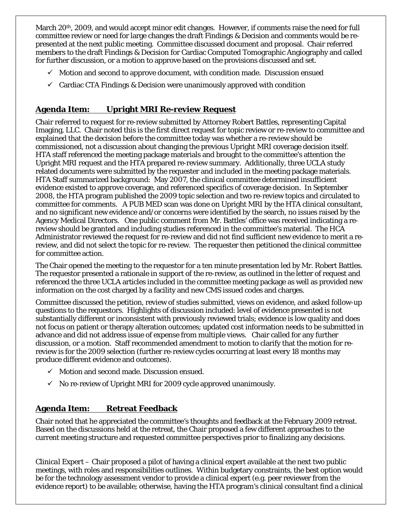March 20<sup>th</sup>, 2009, and would accept minor edit changes. However, if comments raise the need for full committee review or need for large changes the draft Findings & Decision and comments would be represented at the next public meeting. Committee discussed document and proposal. Chair referred members to the draft Findings & Decision for Cardiac Computed Tomographic Angiography and called for further discussion, or a motion to approve based on the provisions discussed and set.

- $\checkmark$  Motion and second to approve document, with condition made. Discussion ensued
- $\checkmark$  Cardiac CTA Findings & Decision were unanimously approved with condition

### **Agenda Item: Upright MRI Re-review Request**

Chair referred to request for re-review submitted by Attorney Robert Battles, representing Capital Imaging, LLC. Chair noted this is the first direct request for topic review or re-review to committee and explained that the decision before the committee today was whether a re-review should be commissioned, not a discussion about changing the previous Upright MRI coverage decision itself. HTA staff referenced the meeting package materials and brought to the committee's attention the Upright MRI request and the HTA prepared re-review summary. Additionally, three UCLA study related documents were submitted by the requester and included in the meeting package materials. HTA Staff summarized background: May 2007, the clinical committee determined insufficient evidence existed to approve coverage, and referenced specifics of coverage decision. In September 2008, the HTA program published the 2009 topic selection and two re-review topics and circulated to committee for comments. A PUB MED scan was done on Upright MRI by the HTA clinical consultant, and no significant new evidence and/or concerns were identified by the search, no issues raised by the Agency Medical Directors. One public comment from Mr. Battles' office was received indicating a rereview should be granted and including studies referenced in the committee's material. The HCA Administrator reviewed the request for re-review and did not find sufficient new evidence to merit a rereview, and did not select the topic for re-review. The requester then petitioned the clinical committee for committee action.

The Chair opened the meeting to the requestor for a ten minute presentation led by Mr. Robert Battles. The requestor presented a rationale in support of the re-review, as outlined in the letter of request and referenced the three UCLA articles included in the committee meeting package as well as provided new information on the cost charged by a facility and new CMS issued codes and charges.

Committee discussed the petition, review of studies submitted, views on evidence, and asked follow-up questions to the requestors. Highlights of discussion included: level of evidence presented is not substantially different or inconsistent with previously reviewed trials; evidence is low quality and does not focus on patient or therapy alteration outcomes; updated cost information needs to be submitted in advance and did not address issue of expense from multiple views. Chair called for any further discussion, or a motion. Staff recommended amendment to motion to clarify that the motion for rereview is for the 2009 selection (further re-review cycles occurring at least every 18 months may produce different evidence and outcomes).

- $\checkmark$  Motion and second made. Discussion ensued.
- $\checkmark$  No re-review of Upright MRI for 2009 cycle approved unanimously.

### **Agenda Item: Retreat Feedback**

Chair noted that he appreciated the committee's thoughts and feedback at the February 2009 retreat. Based on the discussions held at the retreat, the Chair proposed a few different approaches to the current meeting structure and requested committee perspectives prior to finalizing any decisions.

*Clinical Expert* – Chair proposed a pilot of having a clinical expert available at the next two public meetings, with roles and responsibilities outlines. Within budgetary constraints, the best option would be for the technology assessment vendor to provide a clinical expert (e.g. peer reviewer from the evidence report) to be available; otherwise, having the HTA program's clinical consultant find a clinical